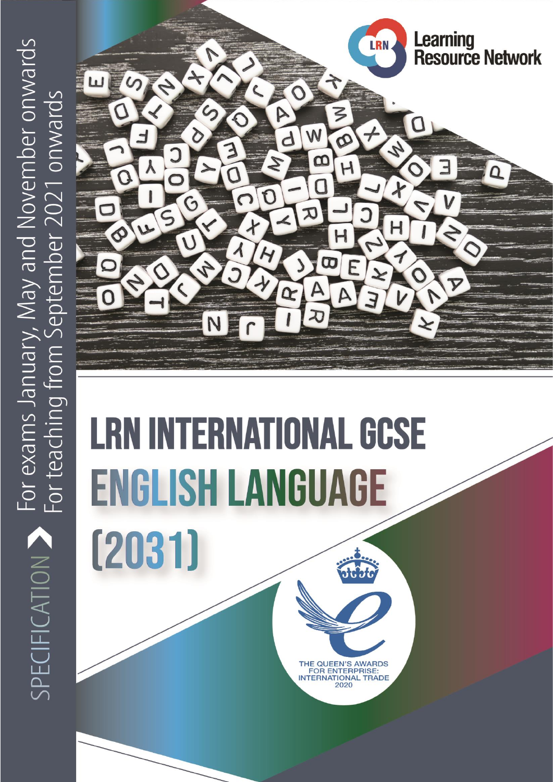

# **LRN INTERNATIONAL GCSE ENGLISH LANGUAGE**

 $(2031)$ 

THE QUEEN'S AWARDS<br>FOR ENTERPRISE: **INTERNATIONAL TRADE** 2020

©Learning Resource Network Ltd LRN International GCSE Specification 1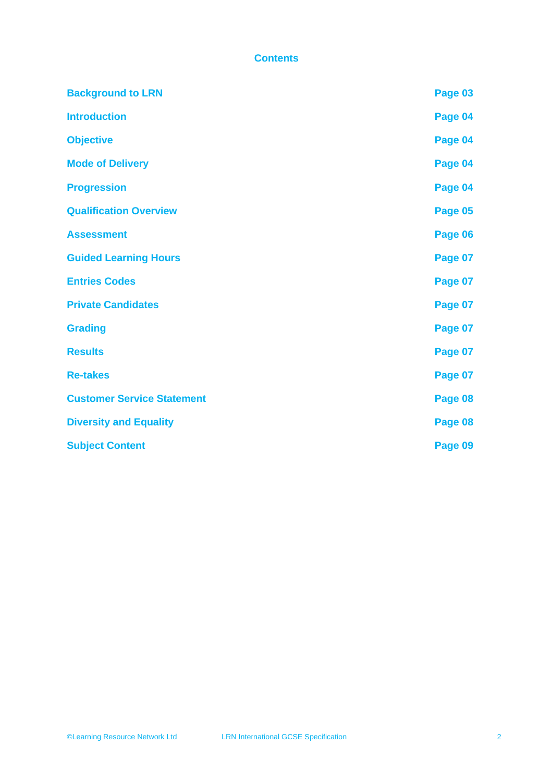#### **Contents**

| <b>Background to LRN</b>          | Page 03 |
|-----------------------------------|---------|
| <b>Introduction</b>               | Page 04 |
| <b>Objective</b>                  | Page 04 |
| <b>Mode of Delivery</b>           | Page 04 |
| <b>Progression</b>                | Page 04 |
| <b>Qualification Overview</b>     | Page 05 |
| <b>Assessment</b>                 | Page 06 |
| <b>Guided Learning Hours</b>      | Page 07 |
| <b>Entries Codes</b>              | Page 07 |
| <b>Private Candidates</b>         | Page 07 |
| <b>Grading</b>                    | Page 07 |
| <b>Results</b>                    | Page 07 |
| <b>Re-takes</b>                   | Page 07 |
| <b>Customer Service Statement</b> | Page 08 |
| <b>Diversity and Equality</b>     | Page 08 |
| <b>Subject Content</b>            | Page 09 |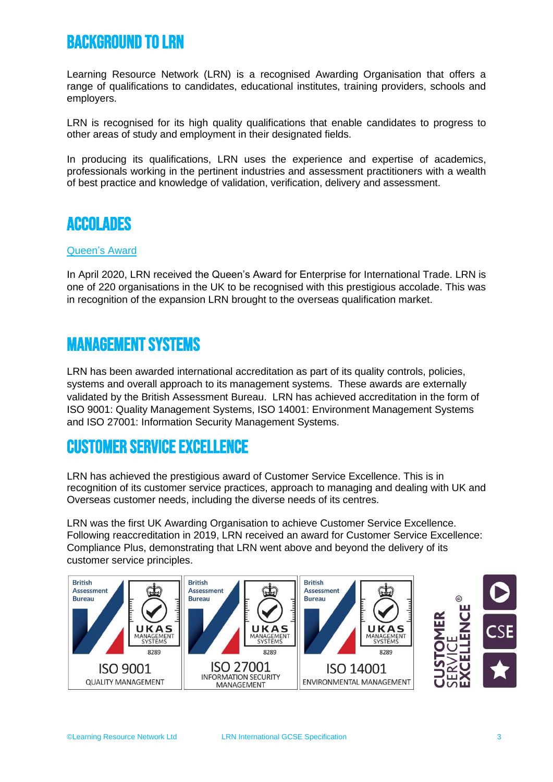# BACKGROUND TO LRN

Learning Resource Network (LRN) is a recognised Awarding Organisation that offers a range of qualifications to candidates, educational institutes, training providers, schools and employers.

LRN is recognised for its high quality qualifications that enable candidates to progress to other areas of study and employment in their designated fields.

In producing its qualifications, LRN uses the experience and expertise of academics, professionals working in the pertinent industries and assessment practitioners with a wealth of best practice and knowledge of validation, verification, delivery and assessment.

## **ACCOLADES**

#### Queen's Award

In April 2020, LRN received the Queen's Award for Enterprise for International Trade. LRN is one of 220 organisations in the UK to be recognised with this prestigious accolade. This was in recognition of the expansion LRN brought to the overseas qualification market.

### Management Systems

LRN has been awarded international accreditation as part of its quality controls, policies, systems and overall approach to its management systems. These awards are externally validated by the British Assessment Bureau. LRN has achieved accreditation in the form of ISO 9001: Quality Management Systems, ISO 14001: Environment Management Systems and ISO 27001: Information Security Management Systems.

## Customer Service Excellence

LRN has achieved the prestigious award of Customer Service Excellence. This is in recognition of its customer service practices, approach to managing and dealing with UK and Overseas customer needs, including the diverse needs of its centres.

LRN was the first UK Awarding Organisation to achieve Customer Service Excellence. Following reaccreditation in 2019, LRN received an award for Customer Service Excellence: Compliance Plus, demonstrating that LRN went above and beyond the delivery of its customer service principles.

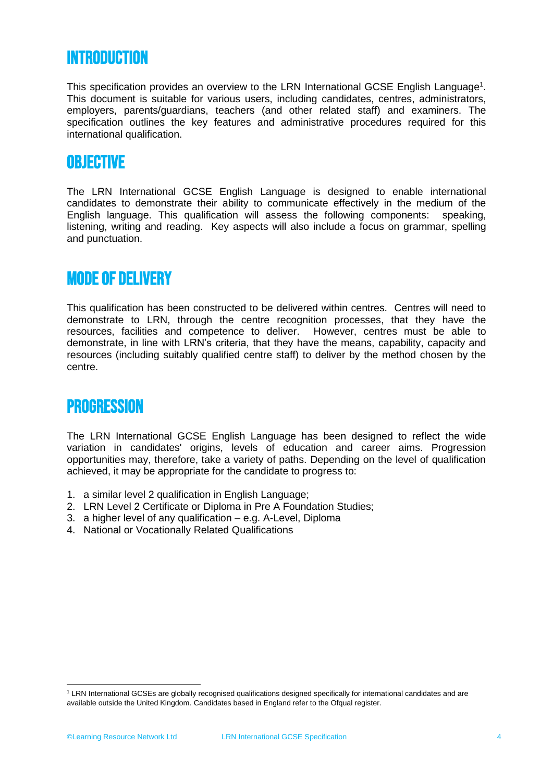## **INTRODUCTION**

This specification provides an overview to the LRN International GCSE English Language<sup>1</sup>. This document is suitable for various users, including candidates, centres, administrators, employers, parents/guardians, teachers (and other related staff) and examiners. The specification outlines the key features and administrative procedures required for this international qualification.

## **OBJECTIVE**

The LRN International GCSE English Language is designed to enable international candidates to demonstrate their ability to communicate effectively in the medium of the English language. This qualification will assess the following components: speaking, listening, writing and reading. Key aspects will also include a focus on grammar, spelling and punctuation.

## MODE OF DELIVERY

This qualification has been constructed to be delivered within centres. Centres will need to demonstrate to LRN, through the centre recognition processes, that they have the resources, facilities and competence to deliver. However, centres must be able to demonstrate, in line with LRN's criteria, that they have the means, capability, capacity and resources (including suitably qualified centre staff) to deliver by the method chosen by the centre.

## **PROGRESSION**

The LRN International GCSE English Language has been designed to reflect the wide variation in candidates' origins, levels of education and career aims. Progression opportunities may, therefore, take a variety of paths. Depending on the level of qualification achieved, it may be appropriate for the candidate to progress to:

- 1. a similar level 2 qualification in English Language;
- 2. LRN Level 2 Certificate or Diploma in Pre A Foundation Studies;
- 3. a higher level of any qualification e.g. A-Level, Diploma
- 4. National or Vocationally Related Qualifications

<sup>1</sup> LRN International GCSEs are globally recognised qualifications designed specifically for international candidates and are available outside the United Kingdom. Candidates based in England refer to the Ofqual register.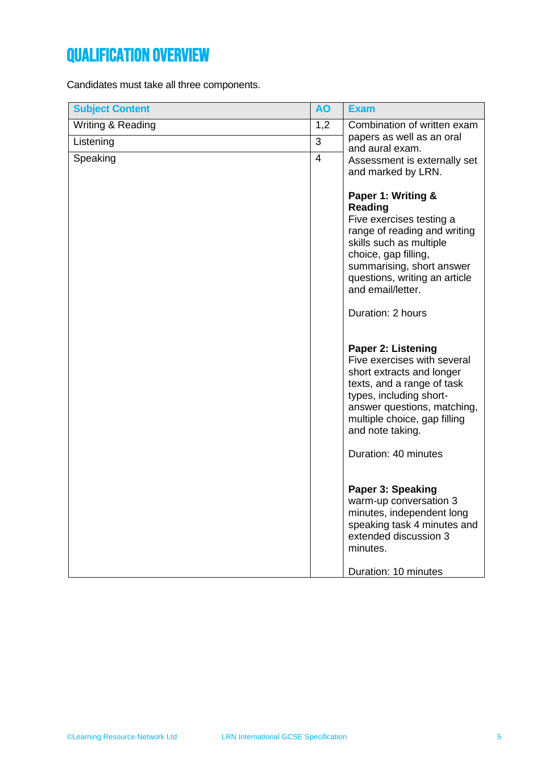# QUALIFICATION OVERVIEW

Candidates must take all three components.

| <b>Subject Content</b> | <b>AO</b>      | <b>Exam</b>                                                                                                                                                                                                                                                                                               |
|------------------------|----------------|-----------------------------------------------------------------------------------------------------------------------------------------------------------------------------------------------------------------------------------------------------------------------------------------------------------|
| Writing & Reading      | 1,2            | Combination of written exam                                                                                                                                                                                                                                                                               |
| Listening              | 3              | papers as well as an oral<br>and aural exam.                                                                                                                                                                                                                                                              |
| Speaking               | $\overline{4}$ | Assessment is externally set<br>and marked by LRN.                                                                                                                                                                                                                                                        |
|                        |                | Paper 1: Writing &<br>Reading<br>Five exercises testing a<br>range of reading and writing<br>skills such as multiple<br>choice, gap filling,<br>summarising, short answer<br>questions, writing an article<br>and email/letter.<br>Duration: 2 hours<br>Paper 2: Listening<br>Five exercises with several |
|                        |                | short extracts and longer<br>texts, and a range of task<br>types, including short-<br>answer questions, matching,<br>multiple choice, gap filling<br>and note taking.                                                                                                                                     |
|                        |                | Duration: 40 minutes                                                                                                                                                                                                                                                                                      |
|                        |                | Paper 3: Speaking<br>warm-up conversation 3<br>minutes, independent long<br>speaking task 4 minutes and<br>extended discussion 3<br>minutes.<br>Duration: 10 minutes                                                                                                                                      |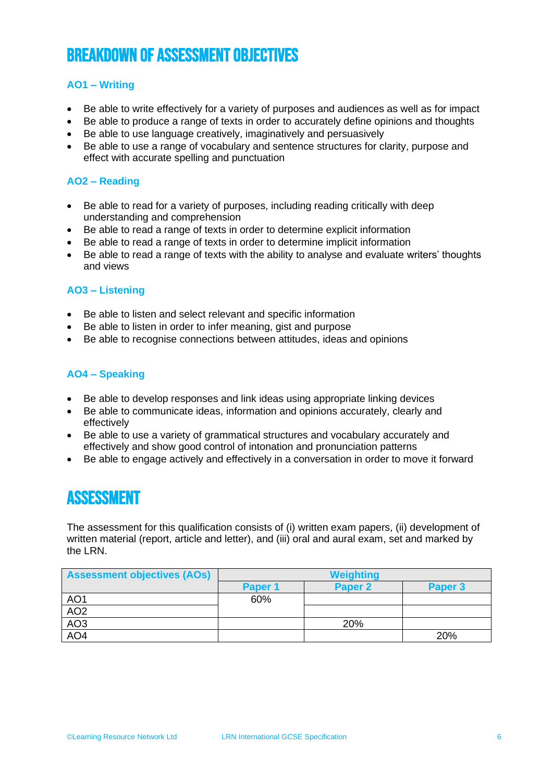# BREAKDOWN OF ASSESSMENT OBJECTIVES

#### **AO1 – Writing**

- Be able to write effectively for a variety of purposes and audiences as well as for impact
- Be able to produce a range of texts in order to accurately define opinions and thoughts
- Be able to use language creatively, imaginatively and persuasively
- Be able to use a range of vocabulary and sentence structures for clarity, purpose and effect with accurate spelling and punctuation

#### **AO2 – Reading**

- Be able to read for a variety of purposes, including reading critically with deep understanding and comprehension
- Be able to read a range of texts in order to determine explicit information
- Be able to read a range of texts in order to determine implicit information
- Be able to read a range of texts with the ability to analyse and evaluate writers' thoughts and views

#### **AO3 – Listening**

- Be able to listen and select relevant and specific information
- Be able to listen in order to infer meaning, gist and purpose
- Be able to recognise connections between attitudes, ideas and opinions

#### **AO4 – Speaking**

- Be able to develop responses and link ideas using appropriate linking devices
- Be able to communicate ideas, information and opinions accurately, clearly and effectively
- Be able to use a variety of grammatical structures and vocabulary accurately and effectively and show good control of intonation and pronunciation patterns
- Be able to engage actively and effectively in a conversation in order to move it forward

## ASSESSMENT

The assessment for this qualification consists of (i) written exam papers, (ii) development of written material (report, article and letter), and (iii) oral and aural exam, set and marked by the LRN.

| <b>Assessment objectives (AOs)</b> | <b>Weighting</b> |         |         |
|------------------------------------|------------------|---------|---------|
|                                    | Paper 1          | Paper 2 | Paper 3 |
| AO1                                | 60%              |         |         |
| AO2                                |                  |         |         |
| AO <sub>3</sub>                    |                  | 20%     |         |
| AO <sub>4</sub>                    |                  |         | 20%     |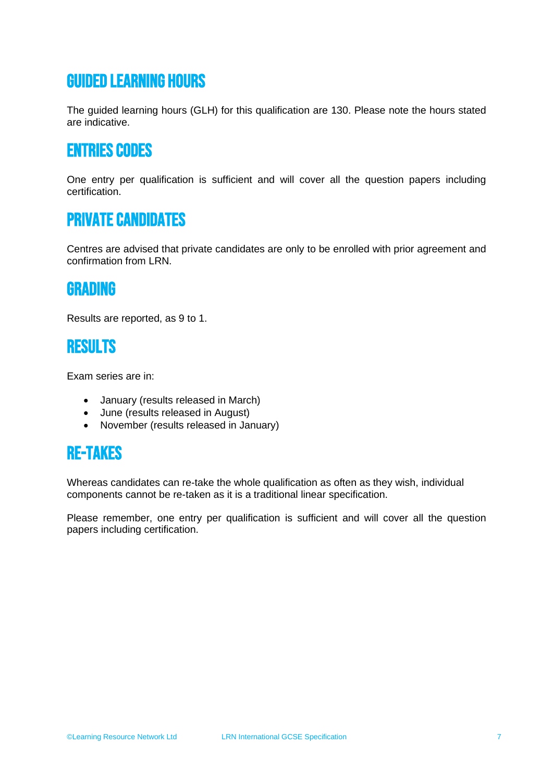# Guided learning hours

The guided learning hours (GLH) for this qualification are 130. Please note the hours stated are indicative.

## Entries codes

One entry per qualification is sufficient and will cover all the question papers including certification.

## Private candidates

Centres are advised that private candidates are only to be enrolled with prior agreement and confirmation from LRN.

## GRADING

Results are reported, as 9 to 1.

## RESULTS

Exam series are in:

- January (results released in March)
- June (results released in August)
- November (results released in January)

# Re-takes

Whereas candidates can re-take the whole qualification as often as they wish, individual components cannot be re-taken as it is a traditional linear specification.

Please remember, one entry per qualification is sufficient and will cover all the question papers including certification.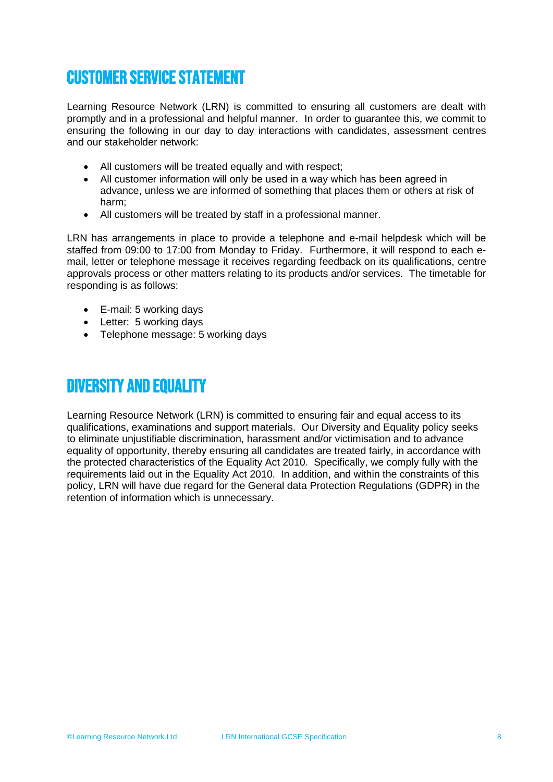# Customer service statement

Learning Resource Network (LRN) is committed to ensuring all customers are dealt with promptly and in a professional and helpful manner. In order to guarantee this, we commit to ensuring the following in our day to day interactions with candidates, assessment centres and our stakeholder network:

- All customers will be treated equally and with respect;
- All customer information will only be used in a way which has been agreed in advance, unless we are informed of something that places them or others at risk of harm;
- All customers will be treated by staff in a professional manner.

LRN has arrangements in place to provide a telephone and e-mail helpdesk which will be staffed from 09:00 to 17:00 from Monday to Friday. Furthermore, it will respond to each email, letter or telephone message it receives regarding feedback on its qualifications, centre approvals process or other matters relating to its products and/or services. The timetable for responding is as follows:

- E-mail: 5 working days
- Letter: 5 working days
- Telephone message: 5 working days

## DIVERSITY AND EQUALITY

Learning Resource Network (LRN) is committed to ensuring fair and equal access to its qualifications, examinations and support materials. Our Diversity and Equality policy seeks to eliminate unjustifiable discrimination, harassment and/or victimisation and to advance equality of opportunity, thereby ensuring all candidates are treated fairly, in accordance with the protected characteristics of the Equality Act 2010. Specifically, we comply fully with the requirements laid out in the Equality Act 2010. In addition, and within the constraints of this policy, LRN will have due regard for the General data Protection Regulations (GDPR) in the retention of information which is unnecessary.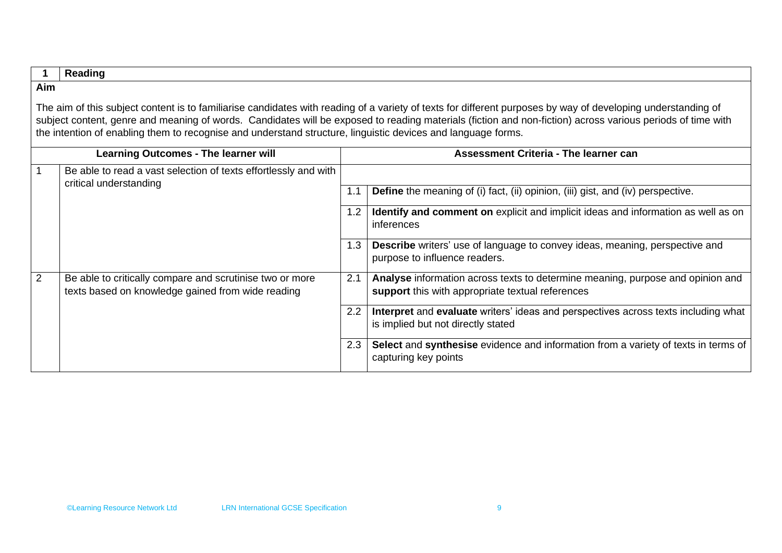|                                                                                                                                                                                                                                                                                                                                                                                                                                            | Reading                                                                                                       |     |                                                                                                                                    |  |
|--------------------------------------------------------------------------------------------------------------------------------------------------------------------------------------------------------------------------------------------------------------------------------------------------------------------------------------------------------------------------------------------------------------------------------------------|---------------------------------------------------------------------------------------------------------------|-----|------------------------------------------------------------------------------------------------------------------------------------|--|
| Aim                                                                                                                                                                                                                                                                                                                                                                                                                                        |                                                                                                               |     |                                                                                                                                    |  |
| The aim of this subject content is to familiarise candidates with reading of a variety of texts for different purposes by way of developing understanding of<br>subject content, genre and meaning of words. Candidates will be exposed to reading materials (fiction and non-fiction) across various periods of time with<br>the intention of enabling them to recognise and understand structure, linguistic devices and language forms. |                                                                                                               |     |                                                                                                                                    |  |
|                                                                                                                                                                                                                                                                                                                                                                                                                                            | <b>Learning Outcomes - The learner will</b>                                                                   |     | <b>Assessment Criteria - The learner can</b>                                                                                       |  |
|                                                                                                                                                                                                                                                                                                                                                                                                                                            | Be able to read a vast selection of texts effortlessly and with<br>critical understanding                     |     |                                                                                                                                    |  |
|                                                                                                                                                                                                                                                                                                                                                                                                                                            |                                                                                                               |     | Define the meaning of (i) fact, (ii) opinion, (iii) gist, and (iv) perspective.                                                    |  |
|                                                                                                                                                                                                                                                                                                                                                                                                                                            |                                                                                                               | 1.2 | <b>Identify and comment on</b> explicit and implicit ideas and information as well as on<br>inferences                             |  |
|                                                                                                                                                                                                                                                                                                                                                                                                                                            |                                                                                                               | 1.3 | <b>Describe</b> writers' use of language to convey ideas, meaning, perspective and<br>purpose to influence readers.                |  |
| 2                                                                                                                                                                                                                                                                                                                                                                                                                                          | Be able to critically compare and scrutinise two or more<br>texts based on knowledge gained from wide reading | 2.1 | Analyse information across texts to determine meaning, purpose and opinion and<br>support this with appropriate textual references |  |
|                                                                                                                                                                                                                                                                                                                                                                                                                                            |                                                                                                               | 2.2 | Interpret and evaluate writers' ideas and perspectives across texts including what<br>is implied but not directly stated           |  |
|                                                                                                                                                                                                                                                                                                                                                                                                                                            |                                                                                                               | 2.3 | Select and synthesise evidence and information from a variety of texts in terms of<br>capturing key points                         |  |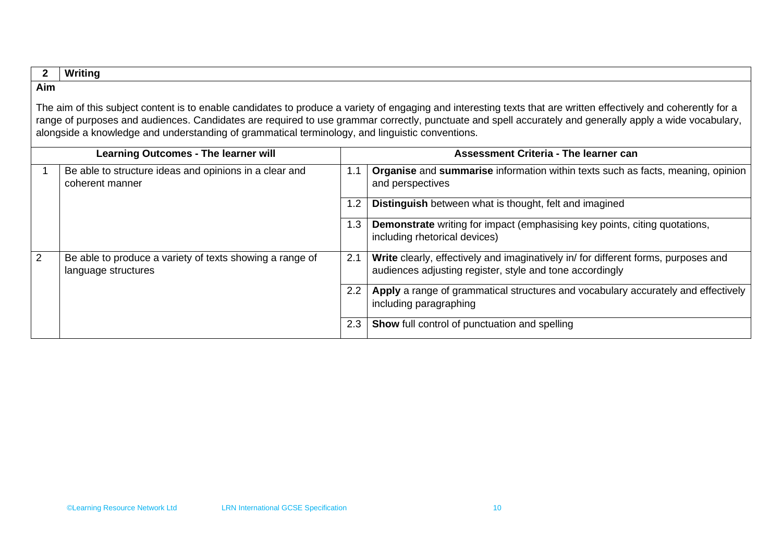#### **2 Writing**

#### **Aim**

The aim of this subject content is to enable candidates to produce a variety of engaging and interesting texts that are written effectively and coherently for a range of purposes and audiences. Candidates are required to use grammar correctly, punctuate and spell accurately and generally apply a wide vocabulary, alongside a knowledge and understanding of grammatical terminology, and linguistic conventions.

|   | <b>Learning Outcomes - The learner will</b>                                     |     | Assessment Criteria - The learner can                                                                                                          |  |  |
|---|---------------------------------------------------------------------------------|-----|------------------------------------------------------------------------------------------------------------------------------------------------|--|--|
|   | Be able to structure ideas and opinions in a clear and<br>coherent manner       | 1.1 | <b>Organise</b> and <b>summarise</b> information within texts such as facts, meaning, opinion<br>and perspectives                              |  |  |
|   |                                                                                 | 1.2 | <b>Distinguish</b> between what is thought, felt and imagined                                                                                  |  |  |
|   |                                                                                 | 1.3 | Demonstrate writing for impact (emphasising key points, citing quotations,<br>including rhetorical devices)                                    |  |  |
| 2 | Be able to produce a variety of texts showing a range of<br>language structures | 2.1 | Write clearly, effectively and imaginatively in/ for different forms, purposes and<br>audiences adjusting register, style and tone accordingly |  |  |
|   |                                                                                 | 2.2 | Apply a range of grammatical structures and vocabulary accurately and effectively<br>including paragraphing                                    |  |  |
|   |                                                                                 | 2.3 | <b>Show</b> full control of punctuation and spelling                                                                                           |  |  |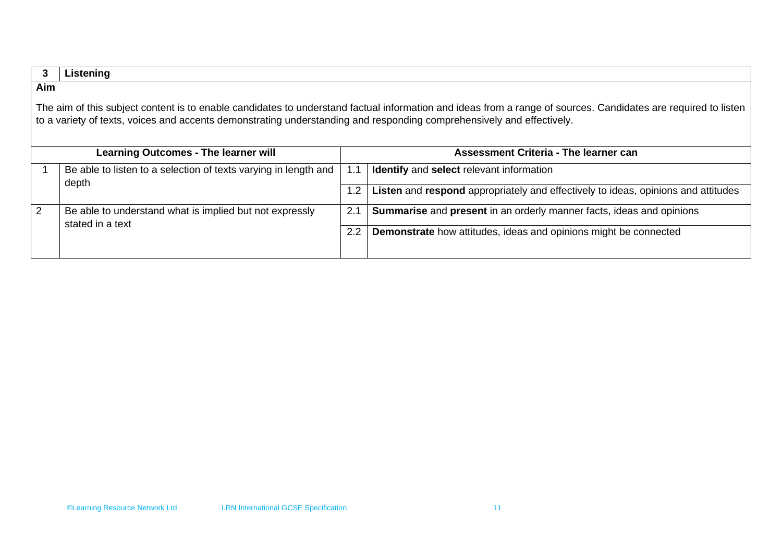|                                                                                                                                                                                                                                                                                         | Listening                                                                   |                                       |                                                                                    |  |
|-----------------------------------------------------------------------------------------------------------------------------------------------------------------------------------------------------------------------------------------------------------------------------------------|-----------------------------------------------------------------------------|---------------------------------------|------------------------------------------------------------------------------------|--|
| Aim                                                                                                                                                                                                                                                                                     |                                                                             |                                       |                                                                                    |  |
| The aim of this subject content is to enable candidates to understand factual information and ideas from a range of sources. Candidates are required to listen<br>to a variety of texts, voices and accents demonstrating understanding and responding comprehensively and effectively. |                                                                             |                                       |                                                                                    |  |
|                                                                                                                                                                                                                                                                                         | <b>Learning Outcomes - The learner will</b>                                 | Assessment Criteria - The learner can |                                                                                    |  |
|                                                                                                                                                                                                                                                                                         | Be able to listen to a selection of texts varying in length and             | 1.1                                   | Identify and select relevant information                                           |  |
|                                                                                                                                                                                                                                                                                         | depth                                                                       | 1.2 <sub>1</sub>                      | Listen and respond appropriately and effectively to ideas, opinions and attitudes  |  |
| 2                                                                                                                                                                                                                                                                                       | Be able to understand what is implied but not expressly<br>stated in a text | 2.1                                   | <b>Summarise</b> and <b>present</b> in an orderly manner facts, ideas and opinions |  |
|                                                                                                                                                                                                                                                                                         |                                                                             | 2.2                                   | Demonstrate how attitudes, ideas and opinions might be connected                   |  |
|                                                                                                                                                                                                                                                                                         |                                                                             |                                       |                                                                                    |  |